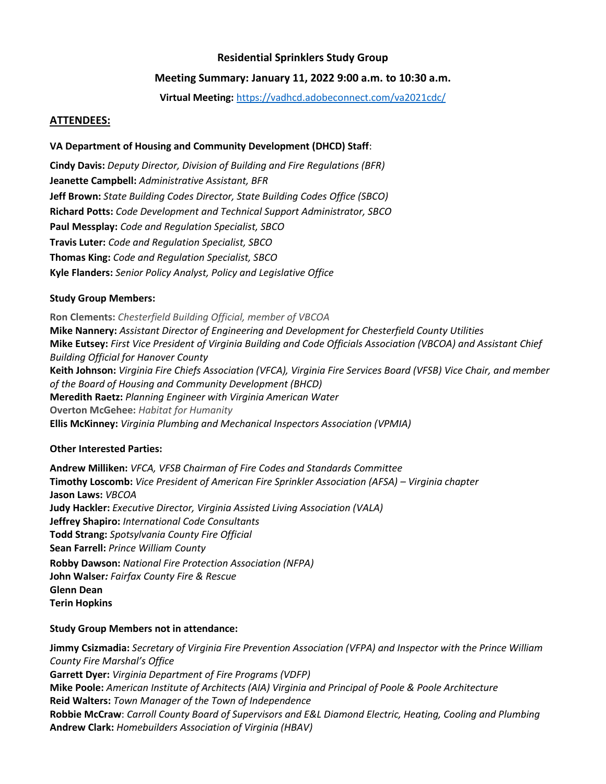# **Residential Sprinklers Study Group**

# **Meeting Summary: January 11, 2022 9:00 a.m. to 10:30 a.m.**

**Virtual Meeting:** <https://vadhcd.adobeconnect.com/va2021cdc/>

#### **ATTENDEES:**

## **VA Department of Housing and Community Development (DHCD) Staff**:

**Cindy Davis:** *Deputy Director, Division of Building and Fire Regulations (BFR)* **Jeanette Campbell:** *Administrative Assistant, BFR* **Jeff Brown:** *State Building Codes Director, State Building Codes Office (SBCO)* **Richard Potts:** *Code Development and Technical Support Administrator, SBCO* **Paul Messplay:** *Code and Regulation Specialist, SBCO* **Travis Luter:** *Code and Regulation Specialist, SBCO* **Thomas King:** *Code and Regulation Specialist, SBCO* **Kyle Flanders:** *Senior Policy Analyst, Policy and Legislative Office*

## **Study Group Members:**

**Ron Clements:** *Chesterfield Building Official, member of VBCOA* **Mike Nannery:** *Assistant Director of Engineering and Development for Chesterfield County Utilities* **Mike Eutsey:** *First Vice President of Virginia Building and Code Officials Association (VBCOA) and Assistant Chief Building Official for Hanover County* **Keith Johnson:** *Virginia Fire Chiefs Association (VFCA), Virginia Fire Services Board (VFSB) Vice Chair, and member of the Board of Housing and Community Development (BHCD)* **Meredith Raetz:** *Planning Engineer with Virginia American Water* **Overton McGehee:** *Habitat for Humanity* **Ellis McKinney:** *Virginia Plumbing and Mechanical Inspectors Association (VPMIA)*

## **Other Interested Parties:**

**Andrew Milliken:** *VFCA, VFSB Chairman of Fire Codes and Standards Committee* **Timothy Loscomb:** *Vice President of American Fire Sprinkler Association (AFSA) – Virginia chapter* **Jason Laws:** *VBCOA* **Judy Hackler:** *Executive Director, Virginia Assisted Living Association (VALA)* **Jeffrey Shapiro:** *International Code Consultants* **Todd Strang:** *Spotsylvania County Fire Official* **Sean Farrell:** *Prince William County* **Robby Dawson:** *National Fire Protection Association (NFPA)* **John Walser***: Fairfax County Fire & Rescue* **Glenn Dean Terin Hopkins**

## **Study Group Members not in attendance:**

**Jimmy Csizmadia:** *Secretary of Virginia Fire Prevention Association (VFPA) and Inspector with the Prince William County Fire Marshal's Office* **Garrett Dyer:** *Virginia Department of Fire Programs (VDFP)* **Mike Poole:** *American Institute of Architects (AIA) Virginia and Principal of Poole & Poole Architecture* **Reid Walters:** *Town Manager of the Town of Independence* **Robbie McCraw**: *Carroll County Board of Supervisors and E&L Diamond Electric, Heating, Cooling and Plumbing* **Andrew Clark:** *Homebuilders Association of Virginia (HBAV)*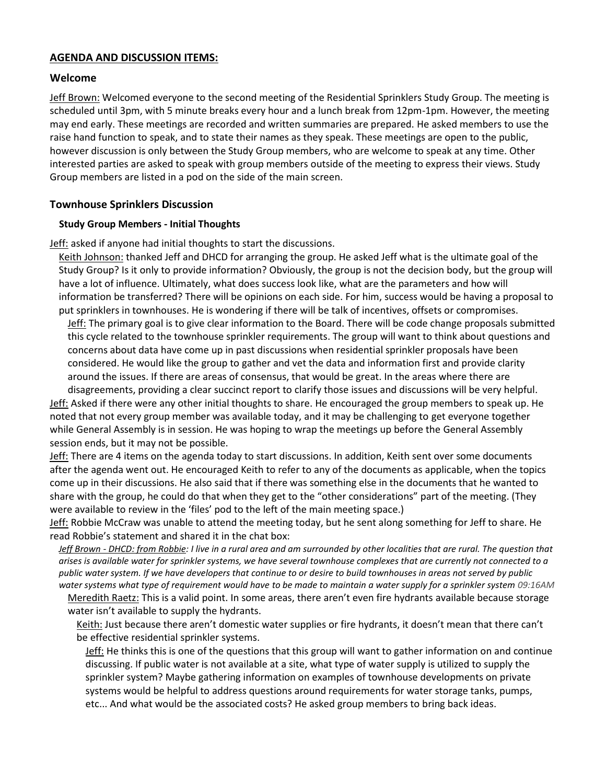# **AGENDA AND DISCUSSION ITEMS:**

## **Welcome**

Jeff Brown: Welcomed everyone to the second meeting of the Residential Sprinklers Study Group. The meeting is scheduled until 3pm, with 5 minute breaks every hour and a lunch break from 12pm-1pm. However, the meeting may end early. These meetings are recorded and written summaries are prepared. He asked members to use the raise hand function to speak, and to state their names as they speak. These meetings are open to the public, however discussion is only between the Study Group members, who are welcome to speak at any time. Other interested parties are asked to speak with group members outside of the meeting to express their views. Study Group members are listed in a pod on the side of the main screen.

# **Townhouse Sprinklers Discussion**

#### **Study Group Members - Initial Thoughts**

**Jeff:** asked if anyone had initial thoughts to start the discussions.

Keith Johnson: thanked Jeff and DHCD for arranging the group. He asked Jeff what is the ultimate goal of the Study Group? Is it only to provide information? Obviously, the group is not the decision body, but the group will have a lot of influence. Ultimately, what does success look like, what are the parameters and how will information be transferred? There will be opinions on each side. For him, success would be having a proposal to put sprinklers in townhouses. He is wondering if there will be talk of incentives, offsets or compromises.

Jeff: The primary goal is to give clear information to the Board. There will be code change proposals submitted this cycle related to the townhouse sprinkler requirements. The group will want to think about questions and concerns about data have come up in past discussions when residential sprinkler proposals have been considered. He would like the group to gather and vet the data and information first and provide clarity around the issues. If there are areas of consensus, that would be great. In the areas where there are disagreements, providing a clear succinct report to clarify those issues and discussions will be very helpful.

Jeff: Asked if there were any other initial thoughts to share. He encouraged the group members to speak up. He noted that not every group member was available today, and it may be challenging to get everyone together while General Assembly is in session. He was hoping to wrap the meetings up before the General Assembly session ends, but it may not be possible.

Jeff: There are 4 items on the agenda today to start discussions. In addition, Keith sent over some documents after the agenda went out. He encouraged Keith to refer to any of the documents as applicable, when the topics come up in their discussions. He also said that if there was something else in the documents that he wanted to share with the group, he could do that when they get to the "other considerations" part of the meeting. (They were available to review in the 'files' pod to the left of the main meeting space.)

Jeff: Robbie McCraw was unable to attend the meeting today, but he sent along something for Jeff to share. He read Robbie's statement and shared it in the chat box:

*Jeff Brown - DHCD: from Robbie: I live in a rural area and am surrounded by other localities that are rural. The question that arises is available water for sprinkler systems, we have several townhouse complexes that are currently not connected to a public water system. If we have developers that continue to or desire to build townhouses in areas not served by public water systems what type of requirement would have to be made to maintain a water supply for a sprinkler system 09:16AM*

Meredith Raetz: This is a valid point. In some areas, there aren't even fire hydrants available because storage water isn't available to supply the hydrants.

Keith: Just because there aren't domestic water supplies or fire hydrants, it doesn't mean that there can't be effective residential sprinkler systems.

Jeff: He thinks this is one of the questions that this group will want to gather information on and continue discussing. If public water is not available at a site, what type of water supply is utilized to supply the sprinkler system? Maybe gathering information on examples of townhouse developments on private systems would be helpful to address questions around requirements for water storage tanks, pumps, etc... And what would be the associated costs? He asked group members to bring back ideas.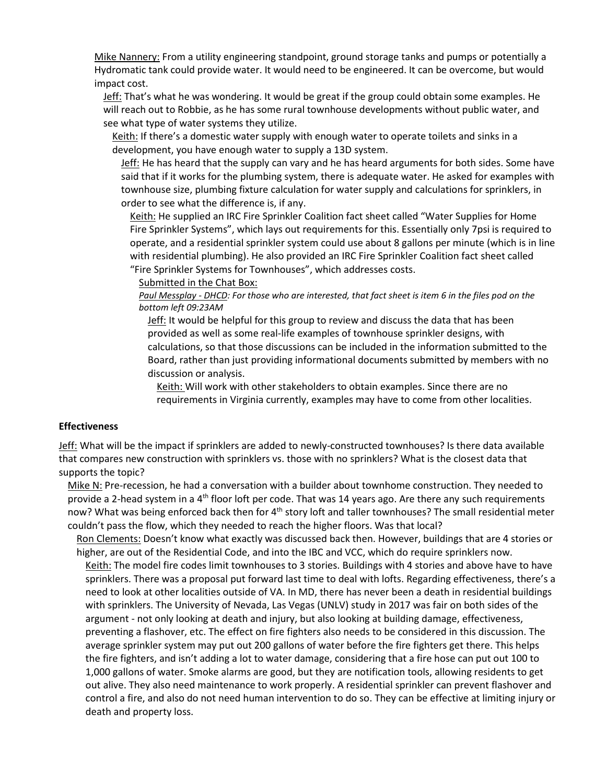Mike Nannery: From a utility engineering standpoint, ground storage tanks and pumps or potentially a Hydromatic tank could provide water. It would need to be engineered. It can be overcome, but would impact cost.

Jeff: That's what he was wondering. It would be great if the group could obtain some examples. He will reach out to Robbie, as he has some rural townhouse developments without public water, and see what type of water systems they utilize.

Keith: If there's a domestic water supply with enough water to operate toilets and sinks in a development, you have enough water to supply a 13D system.

Jeff: He has heard that the supply can vary and he has heard arguments for both sides. Some have said that if it works for the plumbing system, there is adequate water. He asked for examples with townhouse size, plumbing fixture calculation for water supply and calculations for sprinklers, in order to see what the difference is, if any.

Keith: He supplied an IRC Fire Sprinkler Coalition fact sheet called "Water Supplies for Home Fire Sprinkler Systems", which lays out requirements for this. Essentially only 7psi is required to operate, and a residential sprinkler system could use about 8 gallons per minute (which is in line with residential plumbing). He also provided an IRC Fire Sprinkler Coalition fact sheet called "Fire Sprinkler Systems for Townhouses", which addresses costs.

Submitted in the Chat Box:

*Paul Messplay - DHCD: For those who are interested, that fact sheet is item 6 in the files pod on the bottom left 09:23AM*

Jeff: It would be helpful for this group to review and discuss the data that has been provided as well as some real-life examples of townhouse sprinkler designs, with calculations, so that those discussions can be included in the information submitted to the Board, rather than just providing informational documents submitted by members with no discussion or analysis.

Keith: Will work with other stakeholders to obtain examples. Since there are no requirements in Virginia currently, examples may have to come from other localities.

#### **Effectiveness**

Jeff: What will be the impact if sprinklers are added to newly-constructed townhouses? Is there data available that compares new construction with sprinklers vs. those with no sprinklers? What is the closest data that supports the topic?

Mike N: Pre-recession, he had a conversation with a builder about townhome construction. They needed to provide a 2-head system in a 4<sup>th</sup> floor loft per code. That was 14 years ago. Are there any such requirements now? What was being enforced back then for 4<sup>th</sup> story loft and taller townhouses? The small residential meter couldn't pass the flow, which they needed to reach the higher floors. Was that local?

Ron Clements: Doesn't know what exactly was discussed back then. However, buildings that are 4 stories or higher, are out of the Residential Code, and into the IBC and VCC, which do require sprinklers now. Keith: The model fire codes limit townhouses to 3 stories. Buildings with 4 stories and above have to have sprinklers. There was a proposal put forward last time to deal with lofts. Regarding effectiveness, there's a need to look at other localities outside of VA. In MD, there has never been a death in residential buildings with sprinklers. The University of Nevada, Las Vegas (UNLV) study in 2017 was fair on both sides of the argument - not only looking at death and injury, but also looking at building damage, effectiveness, preventing a flashover, etc. The effect on fire fighters also needs to be considered in this discussion. The average sprinkler system may put out 200 gallons of water before the fire fighters get there. This helps the fire fighters, and isn't adding a lot to water damage, considering that a fire hose can put out 100 to 1,000 gallons of water. Smoke alarms are good, but they are notification tools, allowing residents to get out alive. They also need maintenance to work properly. A residential sprinkler can prevent flashover and control a fire, and also do not need human intervention to do so. They can be effective at limiting injury or death and property loss.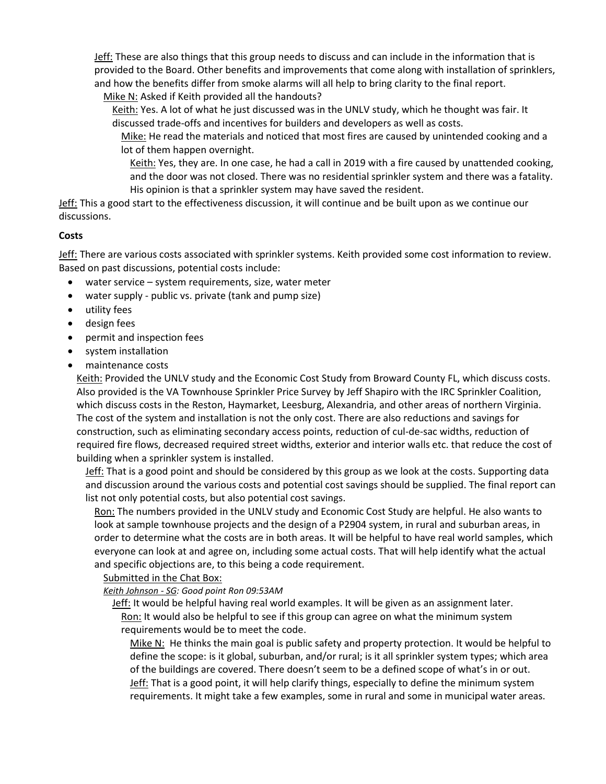Jeff: These are also things that this group needs to discuss and can include in the information that is provided to the Board. Other benefits and improvements that come along with installation of sprinklers, and how the benefits differ from smoke alarms will all help to bring clarity to the final report.

Mike N: Asked if Keith provided all the handouts?

Keith: Yes. A lot of what he just discussed was in the UNLV study, which he thought was fair. It discussed trade-offs and incentives for builders and developers as well as costs.

Mike: He read the materials and noticed that most fires are caused by unintended cooking and a lot of them happen overnight.

Keith: Yes, they are. In one case, he had a call in 2019 with a fire caused by unattended cooking, and the door was not closed. There was no residential sprinkler system and there was a fatality. His opinion is that a sprinkler system may have saved the resident.

Jeff: This a good start to the effectiveness discussion, it will continue and be built upon as we continue our discussions.

## **Costs**

Jeff: There are various costs associated with sprinkler systems. Keith provided some cost information to review. Based on past discussions, potential costs include:

- water service system requirements, size, water meter
- water supply public vs. private (tank and pump size)
- utility fees
- design fees
- permit and inspection fees
- system installation
- maintenance costs

Keith: Provided the UNLV study and the Economic Cost Study from Broward County FL, which discuss costs. Also provided is the VA Townhouse Sprinkler Price Survey by Jeff Shapiro with the IRC Sprinkler Coalition, which discuss costs in the Reston, Haymarket, Leesburg, Alexandria, and other areas of northern Virginia. The cost of the system and installation is not the only cost. There are also reductions and savings for construction, such as eliminating secondary access points, reduction of cul-de-sac widths, reduction of required fire flows, decreased required street widths, exterior and interior walls etc. that reduce the cost of building when a sprinkler system is installed.

Jeff: That is a good point and should be considered by this group as we look at the costs. Supporting data and discussion around the various costs and potential cost savings should be supplied. The final report can list not only potential costs, but also potential cost savings.

Ron: The numbers provided in the UNLV study and Economic Cost Study are helpful. He also wants to look at sample townhouse projects and the design of a P2904 system, in rural and suburban areas, in order to determine what the costs are in both areas. It will be helpful to have real world samples, which everyone can look at and agree on, including some actual costs. That will help identify what the actual and specific objections are, to this being a code requirement.

#### Submitted in the Chat Box:

#### *Keith Johnson - SG: Good point Ron 09:53AM*

Jeff: It would be helpful having real world examples. It will be given as an assignment later. Ron: It would also be helpful to see if this group can agree on what the minimum system requirements would be to meet the code.

Mike N: He thinks the main goal is public safety and property protection. It would be helpful to define the scope: is it global, suburban, and/or rural; is it all sprinkler system types; which area of the buildings are covered. There doesn't seem to be a defined scope of what's in or out. **Jeff:** That is a good point, it will help clarify things, especially to define the minimum system requirements. It might take a few examples, some in rural and some in municipal water areas.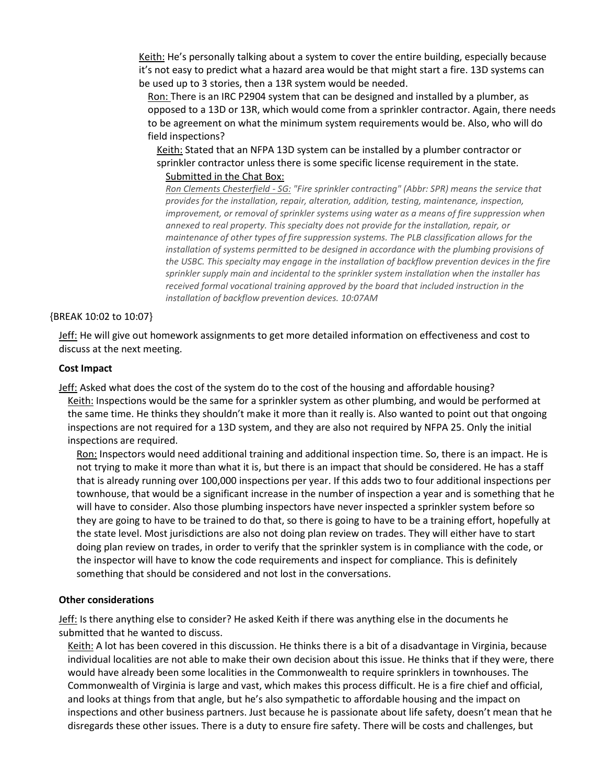Keith: He's personally talking about a system to cover the entire building, especially because it's not easy to predict what a hazard area would be that might start a fire. 13D systems can be used up to 3 stories, then a 13R system would be needed.

Ron: There is an IRC P2904 system that can be designed and installed by a plumber, as opposed to a 13D or 13R, which would come from a sprinkler contractor. Again, there needs to be agreement on what the minimum system requirements would be. Also, who will do field inspections?

Keith: Stated that an NFPA 13D system can be installed by a plumber contractor or sprinkler contractor unless there is some specific license requirement in the state. Submitted in the Chat Box:

*Ron Clements Chesterfield - SG: "Fire sprinkler contracting" (Abbr: SPR) means the service that provides for the installation, repair, alteration, addition, testing, maintenance, inspection, improvement, or removal of sprinkler systems using water as a means of fire suppression when annexed to real property. This specialty does not provide for the installation, repair, or maintenance of other types of fire suppression systems. The PLB classification allows for the installation of systems permitted to be designed in accordance with the plumbing provisions of the USBC. This specialty may engage in the installation of backflow prevention devices in the fire sprinkler supply main and incidental to the sprinkler system installation when the installer has received formal vocational training approved by the board that included instruction in the installation of backflow prevention devices. 10:07AM*

#### {BREAK 10:02 to 10:07}

Jeff: He will give out homework assignments to get more detailed information on effectiveness and cost to discuss at the next meeting.

#### **Cost Impact**

Jeff: Asked what does the cost of the system do to the cost of the housing and affordable housing? Keith: Inspections would be the same for a sprinkler system as other plumbing, and would be performed at the same time. He thinks they shouldn't make it more than it really is. Also wanted to point out that ongoing inspections are not required for a 13D system, and they are also not required by NFPA 25. Only the initial inspections are required.

Ron: Inspectors would need additional training and additional inspection time. So, there is an impact. He is not trying to make it more than what it is, but there is an impact that should be considered. He has a staff that is already running over 100,000 inspections per year. If this adds two to four additional inspections per townhouse, that would be a significant increase in the number of inspection a year and is something that he will have to consider. Also those plumbing inspectors have never inspected a sprinkler system before so they are going to have to be trained to do that, so there is going to have to be a training effort, hopefully at the state level. Most jurisdictions are also not doing plan review on trades. They will either have to start doing plan review on trades, in order to verify that the sprinkler system is in compliance with the code, or the inspector will have to know the code requirements and inspect for compliance. This is definitely something that should be considered and not lost in the conversations.

#### **Other considerations**

Jeff: Is there anything else to consider? He asked Keith if there was anything else in the documents he submitted that he wanted to discuss.

Keith: A lot has been covered in this discussion. He thinks there is a bit of a disadvantage in Virginia, because individual localities are not able to make their own decision about this issue. He thinks that if they were, there would have already been some localities in the Commonwealth to require sprinklers in townhouses. The Commonwealth of Virginia is large and vast, which makes this process difficult. He is a fire chief and official, and looks at things from that angle, but he's also sympathetic to affordable housing and the impact on inspections and other business partners. Just because he is passionate about life safety, doesn't mean that he disregards these other issues. There is a duty to ensure fire safety. There will be costs and challenges, but